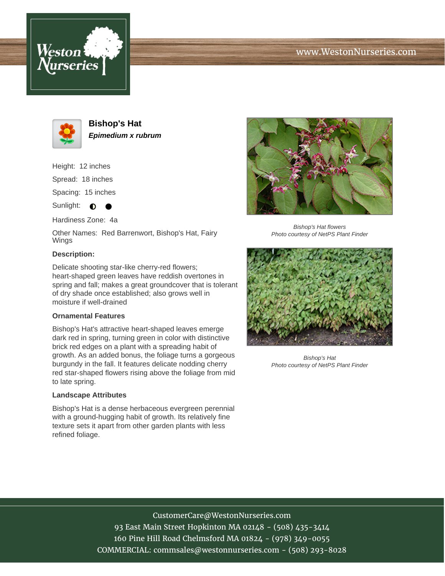



**Bishop's Hat Epimedium x rubrum**

Height: 12 inches Spread: 18 inches Spacing: 15 inches

Sunlight:  $\bullet$ ●

Hardiness Zone: 4a

Other Names: Red Barrenwort, Bishop's Hat, Fairy Wings

# **Description:**

Delicate shooting star-like cherry-red flowers; heart-shaped green leaves have reddish overtones in spring and fall; makes a great groundcover that is tolerant of dry shade once established; also grows well in moisture if well-drained

## **Ornamental Features**

Bishop's Hat's attractive heart-shaped leaves emerge dark red in spring, turning green in color with distinctive brick red edges on a plant with a spreading habit of growth. As an added bonus, the foliage turns a gorgeous burgundy in the fall. It features delicate nodding cherry red star-shaped flowers rising above the foliage from mid to late spring.

#### **Landscape Attributes**

Bishop's Hat is a dense herbaceous evergreen perennial with a ground-hugging habit of growth. Its relatively fine texture sets it apart from other garden plants with less refined foliage.



Bishop's Hat flowers Photo courtesy of NetPS Plant Finder



Bishop's Hat Photo courtesy of NetPS Plant Finder

CustomerCare@WestonNurseries.com 93 East Main Street Hopkinton MA 02148 - (508) 435-3414 160 Pine Hill Road Chelmsford MA 01824 - (978) 349-0055 COMMERCIAL: commsales@westonnurseries.com - (508) 293-8028